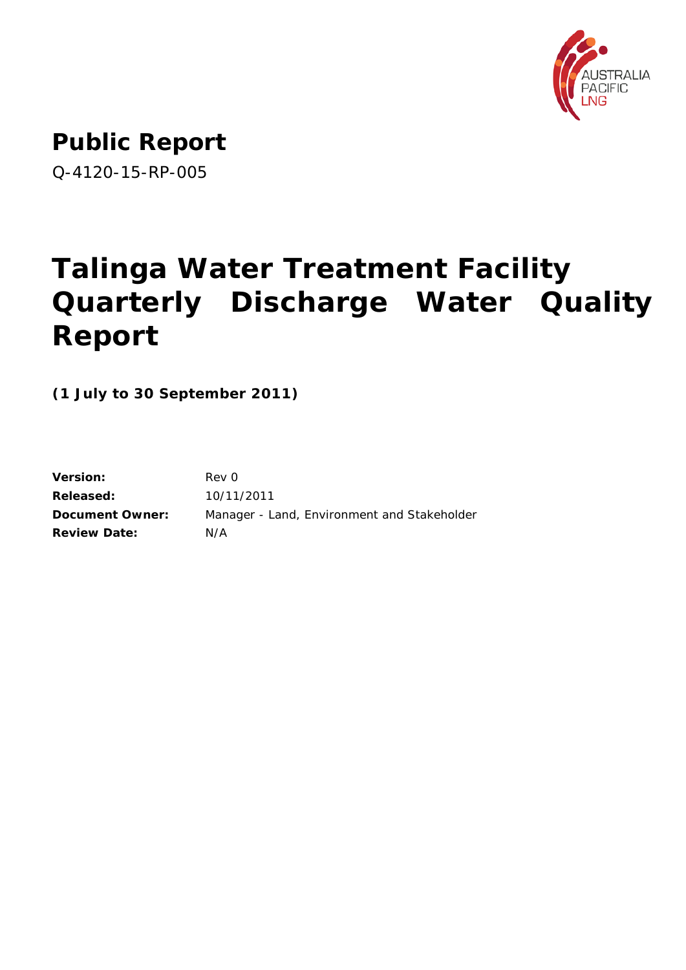

# **Public Report**

Q-4120-15-RP-005

# **Talinga Water Treatment Facility Quarterly Discharge Water Quality Report**

**(1 July to 30 September 2011)**

| Rev 0                                       |
|---------------------------------------------|
| 10/11/2011                                  |
| Manager - Land, Environment and Stakeholder |
| N/A                                         |
|                                             |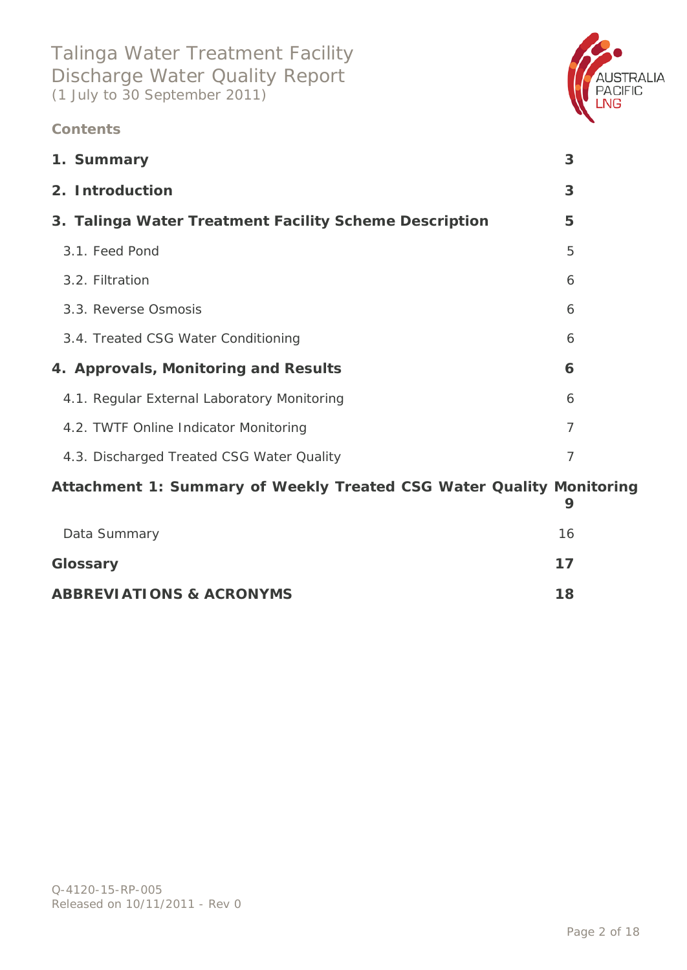### **Contents**



### **[Attachment 1: Summary of Weekly Treated CSG Water Quality Monitoring](#page-8-0)**

| Data Summary                        | 16 |
|-------------------------------------|----|
| Glossary                            | 17 |
| <b>ABBREVIATIONS &amp; ACRONYMS</b> | 18 |



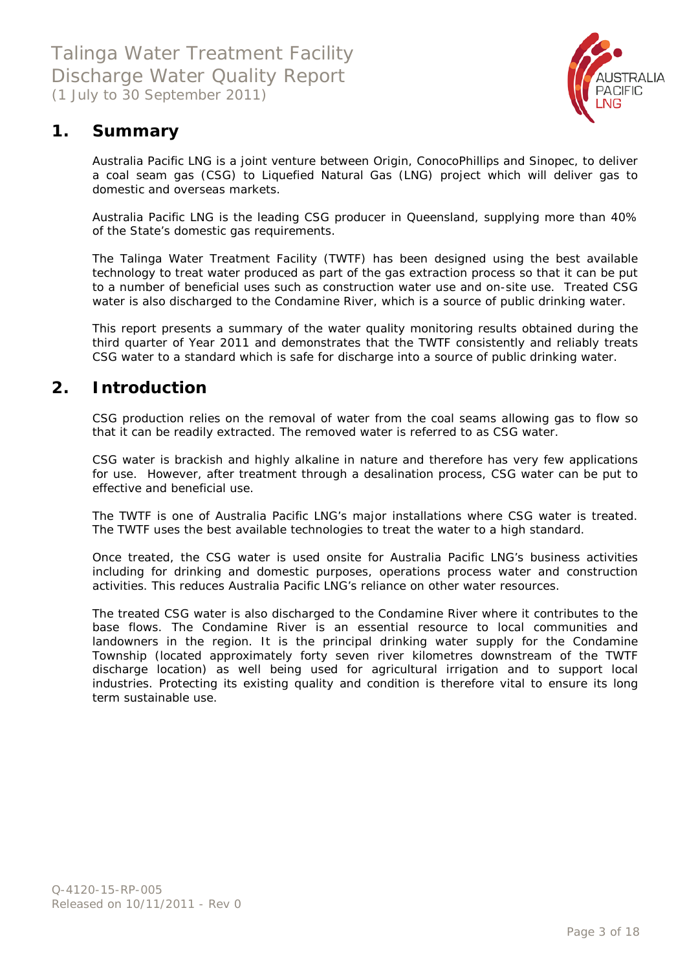

### <span id="page-2-0"></span>**1. Summary**

Australia Pacific LNG is a joint venture between Origin, ConocoPhillips and Sinopec, to deliver a coal seam gas (CSG) to Liquefied Natural Gas (LNG) project which will deliver gas to domestic and overseas markets.

Australia Pacific LNG is the leading CSG producer in Queensland, supplying more than 40% of the State's domestic gas requirements.

The Talinga Water Treatment Facility (TWTF) has been designed using the best available technology to treat water produced as part of the gas extraction process so that it can be put to a number of beneficial uses such as construction water use and on-site use. Treated CSG water is also discharged to the Condamine River, which is a source of public drinking water.

This report presents a summary of the water quality monitoring results obtained during the third quarter of Year 2011 and demonstrates that the TWTF consistently and reliably treats CSG water to a standard which is safe for discharge into a source of public drinking water.

### <span id="page-2-1"></span>**2. Introduction**

CSG production relies on the removal of water from the coal seams allowing gas to flow so that it can be readily extracted. The removed water is referred to as CSG water.

CSG water is brackish and highly alkaline in nature and therefore has very few applications for use. However, after treatment through a desalination process, CSG water can be put to effective and beneficial use.

The TWTF is one of Australia Pacific LNG's major installations where CSG water is treated. The TWTF uses the best available technologies to treat the water to a high standard.

Once treated, the CSG water is used onsite for Australia Pacific LNG's business activities including for drinking and domestic purposes, operations process water and construction activities. This reduces Australia Pacific LNG's reliance on other water resources.

The treated CSG water is also discharged to the Condamine River where it contributes to the base flows. The Condamine River is an essential resource to local communities and landowners in the region. It is the principal drinking water supply for the Condamine Township (located approximately forty seven river kilometres downstream of the TWTF discharge location) as well being used for agricultural irrigation and to support local industries. Protecting its existing quality and condition is therefore vital to ensure its long term sustainable use.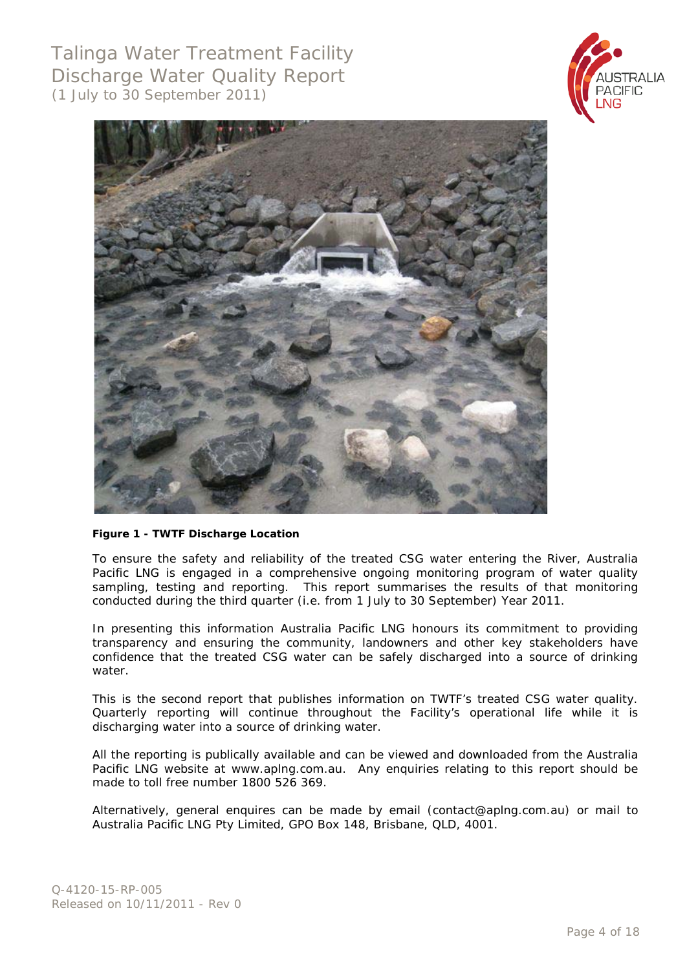Talinga Water Treatment Facility Discharge Water Quality Report (1 July to 30 September 2011)





#### **Figure 1 - TWTF Discharge Location**

To ensure the safety and reliability of the treated CSG water entering the River, Australia Pacific LNG is engaged in a comprehensive ongoing monitoring program of water quality sampling, testing and reporting. This report summarises the results of that monitoring conducted during the third quarter (i.e. from 1 July to 30 September) Year 2011.

In presenting this information Australia Pacific LNG honours its commitment to providing transparency and ensuring the community, landowners and other key stakeholders have confidence that the treated CSG water can be safely discharged into a source of drinking water.

This is the second report that publishes information on TWTF's treated CSG water quality. Quarterly reporting will continue throughout the Facility's operational life while it is discharging water into a source of drinking water.

All the reporting is publically available and can be viewed and downloaded from the Australia Pacific LNG website at [www.aplng.com.au.](http://www.aplng.com.au/) Any enquiries relating to this report should be made to toll free number 1800 526 369.

Alternatively, general enquires can be made by email [\(contact@aplng.com.au\)](mailto:contact@aplng.com.au) or mail to Australia Pacific LNG Pty Limited, GPO Box 148, Brisbane, QLD, 4001.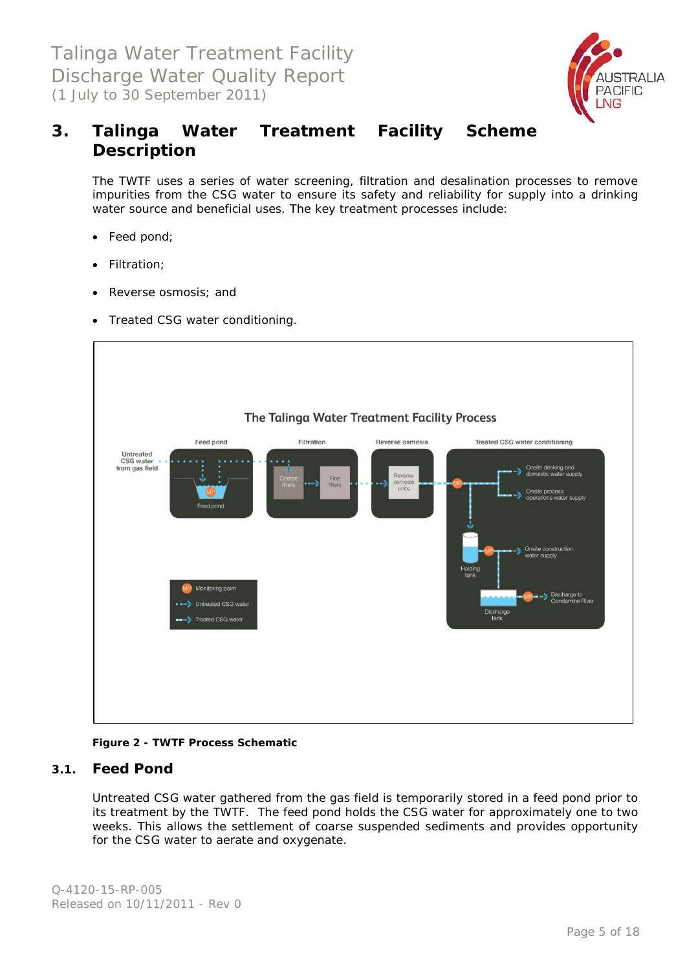

### <span id="page-4-0"></span>**3. Talinga Water Treatment Facility Scheme Description**

The TWTF uses a series of water screening, filtration and desalination processes to remove impurities from the CSG water to ensure its safety and reliability for supply into a drinking water source and beneficial uses. The key treatment processes include:

- Feed pond;
- Filtration;
- Reverse osmosis; and
- Treated CSG water conditioning.



**Figure 2 - TWTF Process Schematic**

#### <span id="page-4-1"></span>**3.1. Feed Pond**

Untreated CSG water gathered from the gas field is temporarily stored in a feed pond prior to its treatment by the TWTF. The feed pond holds the CSG water for approximately one to two weeks. This allows the settlement of coarse suspended sediments and provides opportunity for the CSG water to aerate and oxygenate.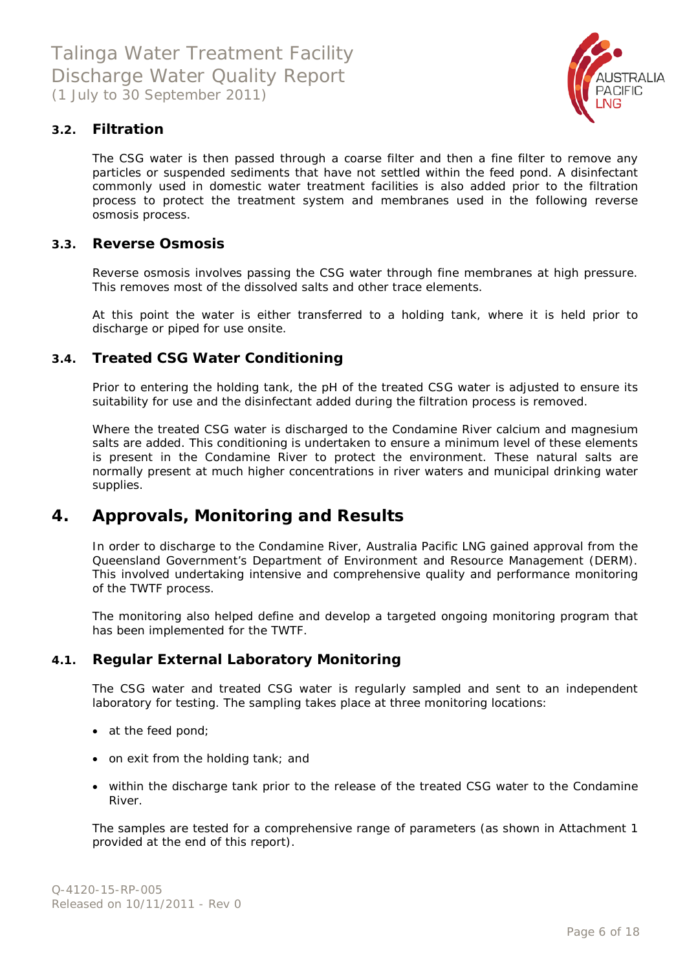

### <span id="page-5-0"></span>**3.2. Filtration**

The CSG water is then passed through a coarse filter and then a fine filter to remove any particles or suspended sediments that have not settled within the feed pond. A disinfectant commonly used in domestic water treatment facilities is also added prior to the filtration process to protect the treatment system and membranes used in the following reverse osmosis process.

#### <span id="page-5-1"></span>**3.3. Reverse Osmosis**

Reverse osmosis involves passing the CSG water through fine membranes at high pressure. This removes most of the dissolved salts and other trace elements.

At this point the water is either transferred to a holding tank, where it is held prior to discharge or piped for use onsite.

### <span id="page-5-2"></span>**3.4. Treated CSG Water Conditioning**

Prior to entering the holding tank, the pH of the treated CSG water is adjusted to ensure its suitability for use and the disinfectant added during the filtration process is removed.

Where the treated CSG water is discharged to the Condamine River calcium and magnesium salts are added. This conditioning is undertaken to ensure a minimum level of these elements is present in the Condamine River to protect the environment. These natural salts are normally present at much higher concentrations in river waters and municipal drinking water supplies.

### <span id="page-5-3"></span>**4. Approvals, Monitoring and Results**

In order to discharge to the Condamine River, Australia Pacific LNG gained approval from the Queensland Government's Department of Environment and Resource Management (DERM). This involved undertaking intensive and comprehensive quality and performance monitoring of the TWTF process.

The monitoring also helped define and develop a targeted ongoing monitoring program that has been implemented for the TWTF.

### <span id="page-5-4"></span>**4.1. Regular External Laboratory Monitoring**

The CSG water and treated CSG water is regularly sampled and sent to an independent laboratory for testing. The sampling takes place at three monitoring locations:

- at the feed pond;
- on exit from the holding tank; and
- within the discharge tank prior to the release of the treated CSG water to the Condamine River.

The samples are tested for a comprehensive range of parameters (as shown in Attachment 1 provided at the end of this report).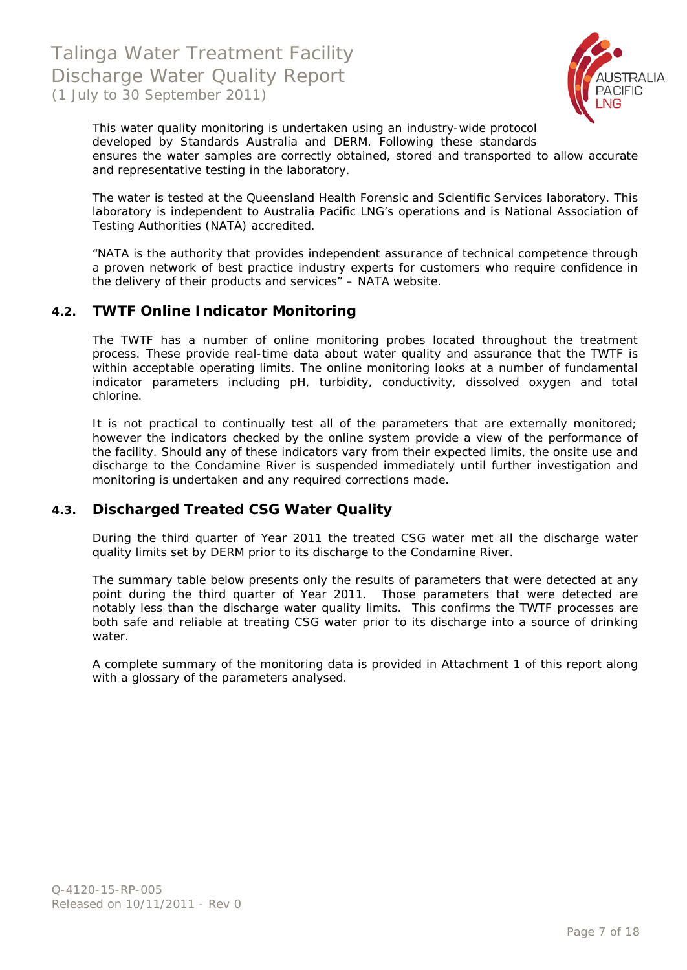

This water quality monitoring is undertaken using an industry-wide protocol developed by Standards Australia and DERM. Following these standards ensures the water samples are correctly obtained, stored and transported to allow accurate and representative testing in the laboratory.

The water is tested at the Queensland Health Forensic and Scientific Services laboratory. This laboratory is independent to Australia Pacific LNG's operations and is National Association of Testing Authorities (NATA) accredited.

*"NATA is the authority that provides independent assurance of technical competence through a proven network of best practice industry experts for customers who require confidence in the delivery of their products and services"* - NATA website.

### <span id="page-6-0"></span>**4.2. TWTF Online Indicator Monitoring**

The TWTF has a number of online monitoring probes located throughout the treatment process. These provide real-time data about water quality and assurance that the TWTF is within acceptable operating limits. The online monitoring looks at a number of fundamental indicator parameters including pH, turbidity, conductivity, dissolved oxygen and total chlorine.

It is not practical to continually test all of the parameters that are externally monitored; however the indicators checked by the online system provide a view of the performance of the facility. Should any of these indicators vary from their expected limits, the onsite use and discharge to the Condamine River is suspended immediately until further investigation and monitoring is undertaken and any required corrections made.

### <span id="page-6-1"></span>**4.3. Discharged Treated CSG Water Quality**

During the third quarter of Year 2011 the treated CSG water met all the discharge water quality limits set by DERM prior to its discharge to the Condamine River.

The summary table below presents only the results of parameters that were detected at any point during the third quarter of Year 2011. Those parameters that were detected are notably less than the discharge water quality limits. This confirms the TWTF processes are both safe and reliable at treating CSG water prior to its discharge into a source of drinking water.

A complete summary of the monitoring data is provided in Attachment 1 of this report along with a glossary of the parameters analysed.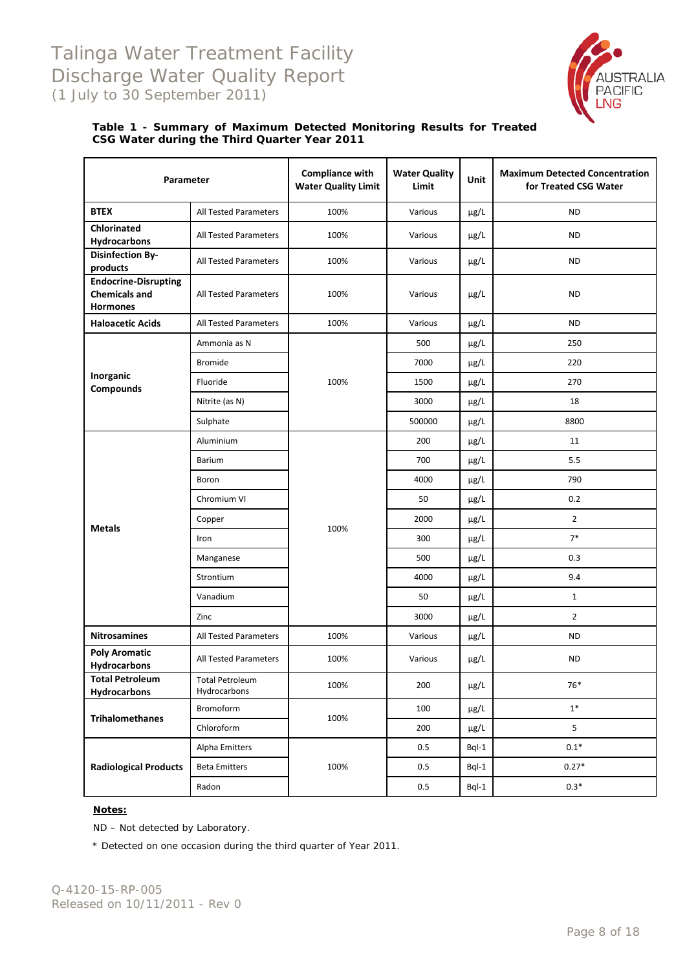## Talinga Water Treatment Facility Discharge Water Quality Report (1 July to 30 September 2011)



#### **Table 1 - Summary of Maximum Detected Monitoring Results for Treated CSG Water during the Third Quarter Year 2011**

| Parameter                                                              |                                        | <b>Compliance with</b><br><b>Water Quality Limit</b> | <b>Water Quality</b><br>Limit | Unit      | <b>Maximum Detected Concentration</b><br>for Treated CSG Water |
|------------------------------------------------------------------------|----------------------------------------|------------------------------------------------------|-------------------------------|-----------|----------------------------------------------------------------|
| <b>BTEX</b>                                                            | All Tested Parameters                  | 100%                                                 | Various                       | µg/L      | <b>ND</b>                                                      |
| <b>Chlorinated</b><br><b>Hydrocarbons</b>                              | <b>All Tested Parameters</b>           | 100%                                                 | Various                       | μg/L      | <b>ND</b>                                                      |
| <b>Disinfection By-</b><br>products                                    | All Tested Parameters                  | 100%                                                 | Various                       | μg/L      | <b>ND</b>                                                      |
| <b>Endocrine-Disrupting</b><br><b>Chemicals and</b><br><b>Hormones</b> | <b>All Tested Parameters</b>           | 100%                                                 | Various                       | µg/L      | <b>ND</b>                                                      |
| <b>Haloacetic Acids</b>                                                | <b>All Tested Parameters</b>           | 100%                                                 | Various                       | µg/L      | <b>ND</b>                                                      |
|                                                                        | Ammonia as N                           |                                                      | 500                           | µg/L      | 250                                                            |
|                                                                        | <b>Bromide</b>                         |                                                      | 7000                          | µg/L      | 220                                                            |
| Inorganic<br>Compounds                                                 | Fluoride                               | 100%                                                 | 1500                          | µg/L      | 270                                                            |
|                                                                        | Nitrite (as N)                         |                                                      | 3000                          | µg/L      | 18                                                             |
|                                                                        | Sulphate                               |                                                      | 500000                        | μg/L      | 8800                                                           |
|                                                                        | Aluminium                              |                                                      | 200                           | µg/L      | 11                                                             |
|                                                                        | Barium                                 |                                                      | 700                           | µg/L      | 5.5                                                            |
|                                                                        | Boron                                  |                                                      | 4000                          | µg/L      | 790                                                            |
|                                                                        | Chromium VI                            |                                                      | 50                            | µg/L      | 0.2                                                            |
|                                                                        | Copper                                 |                                                      | 2000                          | µg/L      | $\overline{2}$                                                 |
| <b>Metals</b>                                                          | Iron                                   | 100%                                                 | 300                           | µg/L      | $7*$                                                           |
|                                                                        | Manganese                              |                                                      | 500                           | µg/L      | 0.3                                                            |
|                                                                        | Strontium                              |                                                      | 4000                          | µg/L      | 9.4                                                            |
|                                                                        | Vanadium                               |                                                      | 50                            | µg/L      | $\mathbf{1}$                                                   |
|                                                                        | Zinc                                   |                                                      | 3000                          | $\mu$ g/L | $\overline{2}$                                                 |
| <b>Nitrosamines</b>                                                    | All Tested Parameters                  | 100%                                                 | Various                       | μg/L      | <b>ND</b>                                                      |
| <b>Poly Aromatic</b><br>Hydrocarbons                                   | <b>All Tested Parameters</b>           | 100%                                                 | Various                       | $\mu$ g/L | ND                                                             |
| <b>Total Petroleum</b><br><b>Hydrocarbons</b>                          | <b>Total Petroleum</b><br>Hydrocarbons | 100%                                                 | 200                           | µg/L      | 76*                                                            |
|                                                                        | Bromoform                              |                                                      | 100                           | µg/L      | $1^\ast$                                                       |
| <b>Trihalomethanes</b>                                                 | Chloroform                             | 100%                                                 | 200                           | μg/L      | 5                                                              |
|                                                                        | Alpha Emitters                         |                                                      | 0.5                           | $Bql-1$   | $0.1*$                                                         |
| <b>Radiological Products</b>                                           | <b>Beta Emitters</b>                   | 100%                                                 | 0.5                           | $Bql-1$   | $0.27*$                                                        |
|                                                                        | Radon                                  |                                                      | $0.5\,$                       | Bql-1     | $0.3*$                                                         |

#### **Notes:**

ND – Not detected by Laboratory.

\* Detected on one occasion during the third quarter of Year 2011.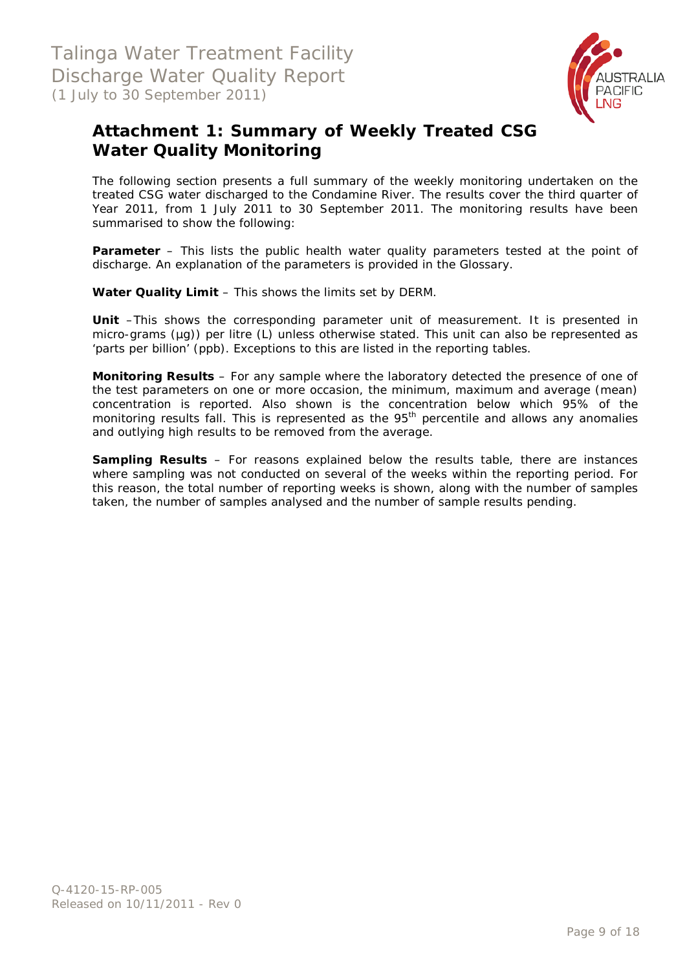

### <span id="page-8-0"></span>**Attachment 1: Summary of Weekly Treated CSG Water Quality Monitoring**

The following section presents a full summary of the weekly monitoring undertaken on the treated CSG water discharged to the Condamine River. The results cover the third quarter of Year 2011, from 1 July 2011 to 30 September 2011. The monitoring results have been summarised to show the following:

**Parameter** – This lists the public health water quality parameters tested at the point of discharge. An explanation of the parameters is provided in the Glossary.

**Water Quality Limit** – This shows the limits set by DERM.

**Unit** –This shows the corresponding parameter unit of measurement. It is presented in micro-grams (µg)) per litre (L) unless otherwise stated. This unit can also be represented as 'parts per billion' (ppb). Exceptions to this are listed in the reporting tables.

**Monitoring Results** – For any sample where the laboratory detected the presence of one of the test parameters on one or more occasion, the minimum, maximum and average (mean) concentration is reported. Also shown is the concentration below which 95% of the monitoring results fall. This is represented as the 95<sup>th</sup> percentile and allows any anomalies and outlying high results to be removed from the average.

**Sampling Results** – For reasons explained below the results table, there are instances where sampling was not conducted on several of the weeks within the reporting period. For this reason, the total number of reporting weeks is shown, along with the number of samples taken, the number of samples analysed and the number of sample results pending.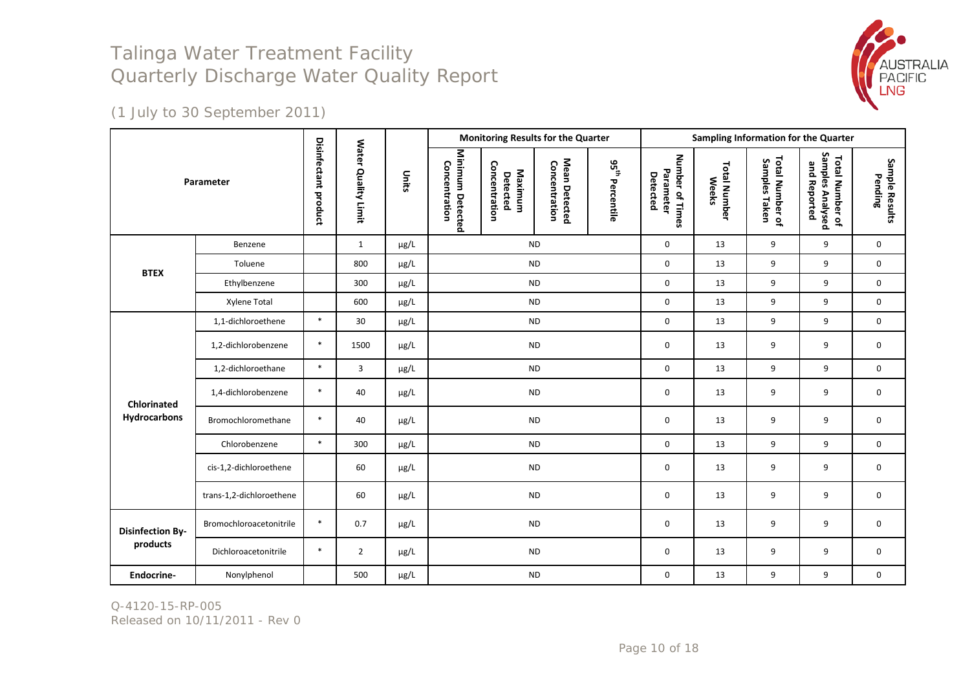

(1 July to 30 September 2011)

|                         |                          |                      |                                      |           | <b>Monitoring Results for the Quarter</b>                                 |                          |                                |                             |                                          | Sampling Information for the Quarter |                                  |                                                     |                           |  |  |  |
|-------------------------|--------------------------|----------------------|--------------------------------------|-----------|---------------------------------------------------------------------------|--------------------------|--------------------------------|-----------------------------|------------------------------------------|--------------------------------------|----------------------------------|-----------------------------------------------------|---------------------------|--|--|--|
|                         | Parameter                | Disinfectant product | <b>Water</b><br><b>Quality Limit</b> | Units     | Minimum Detected<br>Concentration<br>Concentration<br>Maximum<br>Detected |                          | Mean Detected<br>Concentration | 95 <sup>th</sup> Percentile | Number of Times<br>Parameter<br>Detected | <b>Total Number</b><br><b>Weeks</b>  | Total Number of<br>Samples Taken | Samples Analysed<br>Total Number of<br>and Reported | Sample Results<br>Pending |  |  |  |
|                         | Benzene                  |                      | $\mathbf{1}$                         | $\mu$ g/L |                                                                           | <b>ND</b>                |                                |                             | $\mathbf 0$                              | 13                                   | 9                                | 9                                                   | $\mathbf 0$               |  |  |  |
| <b>BTEX</b>             | Toluene                  |                      | 800                                  | $\mu$ g/L |                                                                           | <b>ND</b>                |                                |                             | $\mathsf{O}\xspace$                      | 13                                   | 9                                | 9                                                   | 0                         |  |  |  |
|                         | Ethylbenzene             |                      | 300                                  | $\mu$ g/L |                                                                           | <b>ND</b>                |                                |                             | 0                                        | 13                                   | 9                                | 9                                                   | 0                         |  |  |  |
|                         | Xylene Total             |                      | 600                                  | $\mu$ g/L |                                                                           | <b>ND</b>                |                                |                             | 0                                        | 13                                   | 9                                | 9                                                   | 0                         |  |  |  |
|                         | 1,1-dichloroethene       | $\ast$               | 30                                   | $\mu$ g/L |                                                                           | <b>ND</b>                |                                |                             | 0                                        | 13                                   | 9                                | 9                                                   | 0                         |  |  |  |
|                         | 1,2-dichlorobenzene      | $\ast$               | 1500                                 | $\mu$ g/L |                                                                           | $\sf ND$                 |                                |                             | $\mathbf 0$                              | 13                                   | 9                                | 9                                                   | 0                         |  |  |  |
|                         | 1,2-dichloroethane       | $\ast$               | 3                                    | $\mu$ g/L |                                                                           | <b>ND</b>                |                                |                             |                                          | 13                                   | 9                                | 9                                                   | 0                         |  |  |  |
| <b>Chlorinated</b>      | 1,4-dichlorobenzene      | $\ast$               | 40                                   | $\mu$ g/L |                                                                           | <b>ND</b>                |                                |                             | $\mathbf 0$                              | 13                                   | 9                                | 9                                                   | 0                         |  |  |  |
| Hydrocarbons            | Bromochloromethane       | $\ast$               | 40                                   | $\mu$ g/L |                                                                           | <b>ND</b>                |                                |                             | 0                                        | 13                                   | 9                                | 9                                                   | 0                         |  |  |  |
|                         | Chlorobenzene            | $\ast$               | 300                                  | $\mu$ g/L |                                                                           | <b>ND</b>                |                                |                             | 0                                        | 13                                   | 9                                | 9                                                   | 0                         |  |  |  |
|                         | cis-1,2-dichloroethene   |                      | 60                                   | $\mu$ g/L |                                                                           | <b>ND</b>                |                                |                             | $\mathbf 0$                              | 13                                   | 9                                | 9                                                   | 0                         |  |  |  |
|                         | trans-1,2-dichloroethene |                      | 60                                   | $\mu$ g/L |                                                                           | <b>ND</b>                |                                |                             |                                          | 13                                   | 9                                | 9                                                   | 0                         |  |  |  |
| <b>Disinfection By-</b> | Bromochloroacetonitrile  | $\ast$               | 0.7                                  | $\mu$ g/L |                                                                           | <b>ND</b><br>$\mathbf 0$ |                                |                             |                                          | 13                                   | 9                                | 9                                                   | $\mathbf 0$               |  |  |  |
| products                | Dichloroacetonitrile     | $\ast$               | $\overline{2}$                       | $\mu$ g/L |                                                                           | <b>ND</b>                |                                |                             | 0                                        | 13                                   | 9                                | 9                                                   | 0                         |  |  |  |
| Endocrine-              | Nonylphenol              |                      | 500                                  | $\mu$ g/L |                                                                           | <b>ND</b>                |                                |                             | 0                                        | 13                                   | 9                                | 9                                                   | 0                         |  |  |  |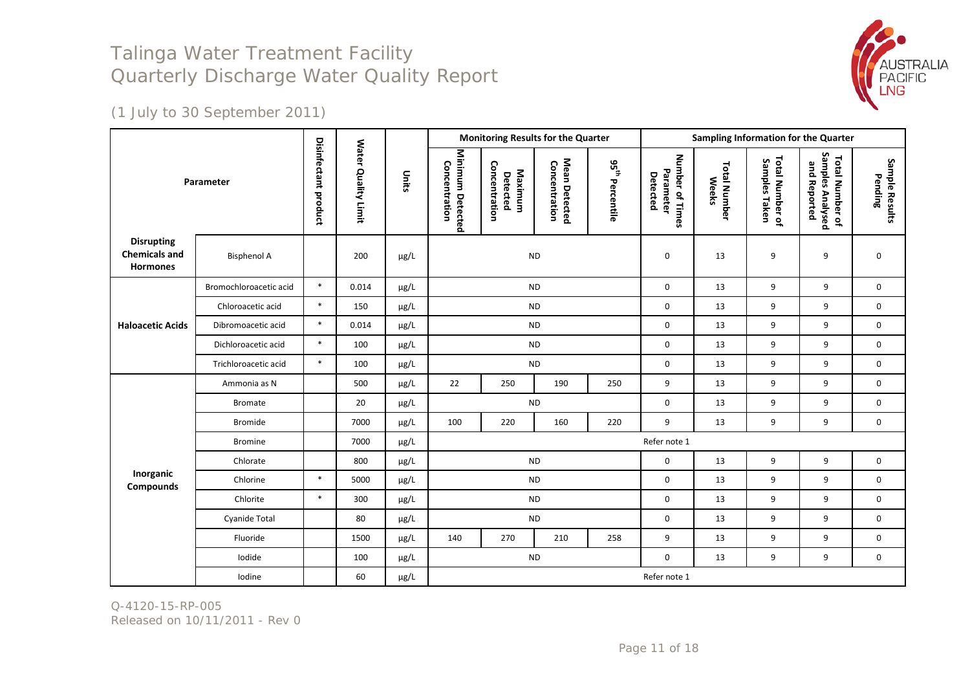

(1 July to 30 September 2011)

|                                                              |                        |                             |                     | <b>Monitoring Results for the Quarter</b> |                                   |                                      |                                | Sampling Information for the Quarter |                                          |                                     |                                  |                                                     |                           |
|--------------------------------------------------------------|------------------------|-----------------------------|---------------------|-------------------------------------------|-----------------------------------|--------------------------------------|--------------------------------|--------------------------------------|------------------------------------------|-------------------------------------|----------------------------------|-----------------------------------------------------|---------------------------|
| Parameter                                                    |                        | <b>Disinfectant product</b> | Water Quality Limit | Units                                     | Minimum Detected<br>Concentration | Concentration<br>Maximum<br>Detected | Mean Detected<br>Concentration | 95 <sup>th</sup> Percentile          | Number of Times<br>Parameter<br>Detected | <b>Total Number</b><br><b>Weeks</b> | Total Number of<br>Samples Taken | Samples Analysed<br>Total Number of<br>and Reported | Sample Results<br>Pending |
| <b>Disrupting</b><br><b>Chemicals and</b><br><b>Hormones</b> | <b>Bisphenol A</b>     |                             | 200                 | µg/L                                      | <b>ND</b>                         |                                      |                                |                                      | 0                                        | 13                                  | 9                                | 9                                                   | $\mathbf 0$               |
|                                                              | Bromochloroacetic acid | $\ast$                      | 0.014               | $\mu$ g/L                                 |                                   |                                      | <b>ND</b>                      |                                      | $\mathbf 0$                              | 13                                  | 9                                | 9                                                   | 0                         |
|                                                              | Chloroacetic acid      | $\ast$                      | 150                 | µg/L                                      |                                   |                                      | <b>ND</b>                      |                                      | $\mathbf 0$                              | 13                                  | 9                                | 9                                                   | $\mathbf 0$               |
| <b>Haloacetic Acids</b>                                      | Dibromoacetic acid     | $\ast$                      | 0.014               | µg/L                                      |                                   | <b>ND</b>                            |                                |                                      |                                          | 13                                  | 9                                | 9                                                   | $\mathbf 0$               |
|                                                              | Dichloroacetic acid    | $\ast$                      | 100                 | $\mu$ g/L                                 |                                   |                                      | <b>ND</b>                      |                                      | $\mathbf 0$                              | 13                                  | 9                                | 9                                                   | $\mathbf 0$               |
|                                                              | Trichloroacetic acid   | $\ast$                      | 100                 | µg/L                                      |                                   |                                      | <b>ND</b>                      |                                      | $\mathbf 0$                              | 13                                  | 9                                | 9                                                   | $\mathbf 0$               |
|                                                              | Ammonia as N           |                             | 500                 | $\mu$ g/L                                 | 22                                | 250                                  | 190                            | 250                                  | 9                                        | 13                                  | 9                                | 9                                                   | $\mathbf 0$               |
|                                                              | <b>Bromate</b>         |                             | 20                  | $\mu$ g/L                                 |                                   |                                      | <b>ND</b>                      |                                      | $\mathbf 0$                              | 13                                  | 9                                | 9                                                   | $\mathbf 0$               |
|                                                              | Bromide                |                             | 7000                | $\mu$ g/L                                 | 100                               | 220                                  | 160                            | 220                                  | 9                                        | 13                                  | 9                                | 9                                                   | $\mathbf 0$               |
|                                                              | <b>Bromine</b>         |                             | 7000                | µg/L                                      |                                   |                                      |                                |                                      | Refer note 1                             |                                     |                                  |                                                     |                           |
|                                                              | Chlorate               |                             | 800                 | µg/L                                      |                                   |                                      | <b>ND</b>                      |                                      | $\mathbf 0$                              | 13                                  | 9                                | 9                                                   | 0                         |
| Inorganic<br>Compounds                                       | Chlorine               | $\ast$                      | 5000                | $\mu$ g/L                                 |                                   |                                      | <b>ND</b>                      |                                      | $\mathbf 0$                              | 13                                  | 9                                | 9                                                   | 0                         |
|                                                              | Chlorite               | $\ast$                      | 300                 | µg/L                                      |                                   |                                      | <b>ND</b>                      |                                      | $\mathbf 0$                              | 13                                  | 9                                | 9                                                   | $\mathbf 0$               |
|                                                              | Cyanide Total          |                             | 80                  | µg/L                                      |                                   |                                      | <b>ND</b>                      |                                      | $\mathbf 0$                              | 13                                  | 9                                | 9                                                   | $\mathbf 0$               |
|                                                              | Fluoride               |                             | 1500                | µg/L                                      | 140                               | 270                                  | 210                            | 258                                  | 9                                        | 13                                  | 9                                | 9                                                   | $\mathbf 0$               |
|                                                              | Iodide                 |                             | 100                 | μg/L                                      |                                   |                                      | <b>ND</b>                      |                                      | 0                                        | 13                                  | 9                                | 9                                                   | $\mathbf 0$               |
|                                                              | Iodine                 |                             | 60                  | µg/L                                      |                                   |                                      |                                |                                      | Refer note 1                             |                                     |                                  |                                                     |                           |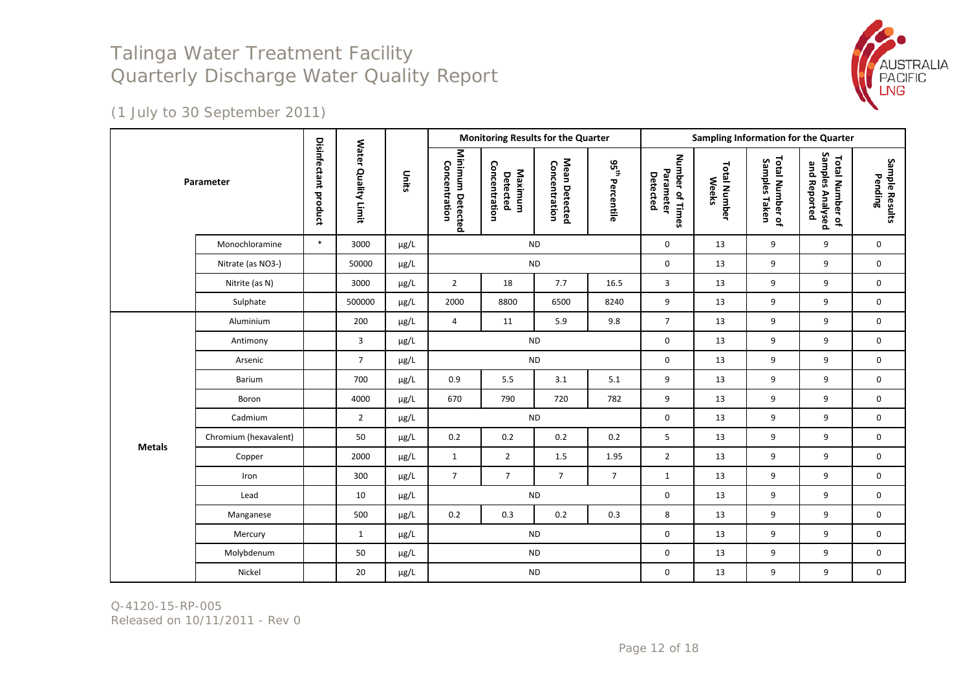

(1 July to 30 September 2011)

| Parameter     |                       |                      |                                      |           |                                   |                                      |                                |                        |                                          |                                     | <b>Monitoring Results for the Quarter</b> |                                                     |                           | Sampling Information for the Quarter |  |  |  |  |
|---------------|-----------------------|----------------------|--------------------------------------|-----------|-----------------------------------|--------------------------------------|--------------------------------|------------------------|------------------------------------------|-------------------------------------|-------------------------------------------|-----------------------------------------------------|---------------------------|--------------------------------------|--|--|--|--|
|               |                       | Disinfectant product | <b>Water</b><br><b>Quality Limit</b> | Units     | Minimum Detected<br>Concentration | Concentration<br>Maximum<br>Detected | Mean Detected<br>Concentration | 95<br>95<br>Percentile | Number of Times<br>Parameter<br>Detected | <b>Total Number</b><br><b>Weeks</b> | Total Number of<br>Samples Taken          | Samples Analysed<br>Total Number of<br>and Reported | Sample Results<br>Pending |                                      |  |  |  |  |
|               | Monochloramine        | $\ast$               | 3000                                 | $\mu$ g/L |                                   | <b>ND</b>                            |                                |                        | $\mathbf 0$                              | 13                                  | 9                                         | 9                                                   | $\mathbf 0$               |                                      |  |  |  |  |
|               | Nitrate (as NO3-)     |                      | 50000                                | $\mu$ g/L |                                   | <b>ND</b>                            |                                |                        | $\mathbf 0$                              | 13                                  | 9                                         | 9                                                   | 0                         |                                      |  |  |  |  |
|               | Nitrite (as N)        |                      | 3000                                 | µg/L      | $\overline{2}$                    | 18                                   | 7.7                            | 16.5                   | 3                                        | 13                                  | 9                                         | 9                                                   | $\mathbf 0$               |                                      |  |  |  |  |
|               | Sulphate              |                      | 500000                               | µg/L      | 2000                              | 8800                                 | 6500                           | 8240                   | 9                                        | 13                                  | 9                                         | 9                                                   | 0                         |                                      |  |  |  |  |
|               | Aluminium             |                      | 200                                  | $\mu$ g/L | $\overline{4}$                    | 11                                   | 5.9                            | 9.8                    | $\overline{7}$                           | 13                                  | 9                                         | 9                                                   | 0                         |                                      |  |  |  |  |
|               | Antimony              |                      | 3                                    | µg/L      |                                   | <b>ND</b>                            |                                |                        |                                          | 13                                  | 9                                         | 9                                                   | $\mathbf 0$               |                                      |  |  |  |  |
|               | Arsenic               |                      | $\overline{7}$                       | µg/L      |                                   | $\sf ND$                             |                                |                        | $\mathbf 0$                              | 13                                  | 9                                         | 9                                                   | 0                         |                                      |  |  |  |  |
|               | Barium                |                      | 700                                  | $\mu$ g/L | 0.9                               | 5.5                                  | 3.1                            | 5.1                    | 9                                        | 13                                  | 9                                         | 9                                                   | 0                         |                                      |  |  |  |  |
|               | Boron                 |                      | 4000                                 | $\mu$ g/L | 670                               | 790                                  | 720                            | 782                    | 9                                        | 13                                  | 9                                         | 9                                                   | 0                         |                                      |  |  |  |  |
|               | Cadmium               |                      | $2^{\circ}$                          | µg/L      |                                   | $\sf ND$                             |                                |                        | $\mathbf 0$                              | 13                                  | 9                                         | 9                                                   | 0                         |                                      |  |  |  |  |
| <b>Metals</b> | Chromium (hexavalent) |                      | 50                                   | µg/L      | 0.2                               | 0.2                                  | 0.2                            | 0.2                    | 5                                        | 13                                  | 9                                         | 9                                                   | 0                         |                                      |  |  |  |  |
|               | Copper                |                      | 2000                                 | $\mu$ g/L | $\mathbf{1}$                      | $\overline{2}$                       | 1.5                            | 1.95                   | $\overline{2}$                           | 13                                  | 9                                         | 9                                                   | $\mathbf 0$               |                                      |  |  |  |  |
|               | Iron                  |                      | 300                                  | $\mu$ g/L | $\overline{7}$                    | $\overline{7}$                       | $\overline{7}$                 | $\overline{7}$         | $\mathbf{1}$                             | 13                                  | 9                                         | 9                                                   | 0                         |                                      |  |  |  |  |
|               | Lead                  |                      | 10                                   | µg/L      |                                   | <b>ND</b>                            |                                |                        | $\mathbf 0$                              | 13                                  | 9                                         | 9                                                   | 0                         |                                      |  |  |  |  |
|               | Manganese             |                      | 500                                  | µg/L      | 0.2                               | 0.3                                  | 0.2                            | 0.3                    | 8                                        | 13                                  | 9                                         | 9                                                   | $\mathbf 0$               |                                      |  |  |  |  |
|               | Mercury               |                      | $\mathbf{1}$                         | $\mu$ g/L |                                   | <b>ND</b>                            |                                |                        | $\mathbf 0$                              | 13                                  | 9                                         | 9                                                   | 0                         |                                      |  |  |  |  |
|               | Molybdenum            |                      | 50                                   | $\mu$ g/L |                                   | $\sf ND$                             |                                |                        | $\mathsf{O}\xspace$                      | 13                                  | 9                                         | 9                                                   | 0                         |                                      |  |  |  |  |
|               | Nickel                |                      | 20                                   | µg/L      |                                   | $\sf ND$                             |                                |                        | $\mathbf 0$                              | 13                                  | 9                                         | 9                                                   | 0                         |                                      |  |  |  |  |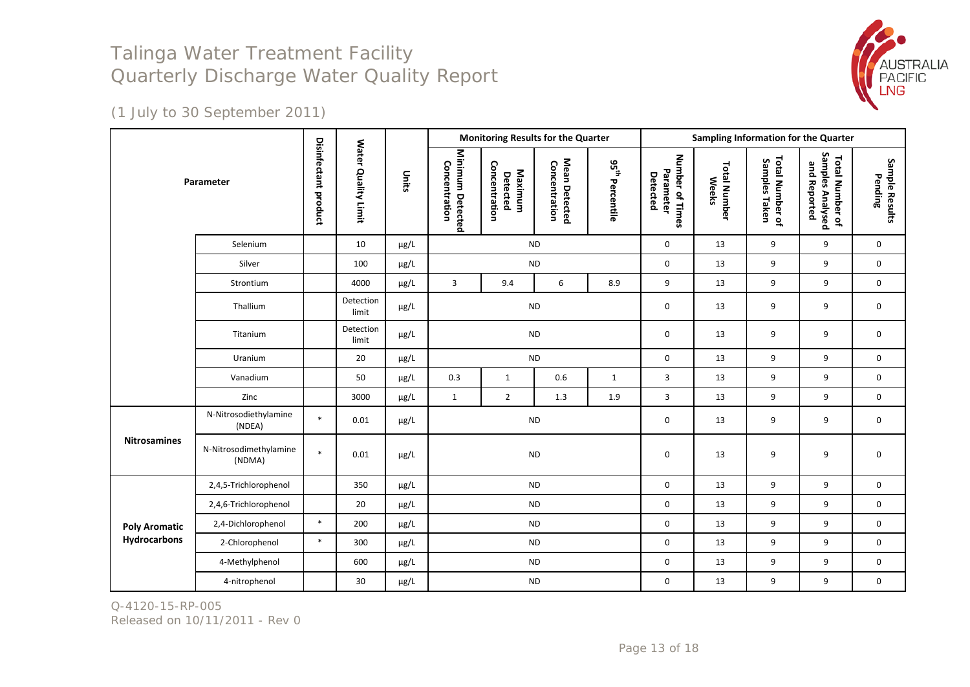

(1 July to 30 September 2011)

| Parameter            |                                  |                             |                     |           |                                   | <b>Monitoring Results for the Quarter</b> |                                |                             | Sampling Information for the Quarter     |                                     |                                  |                                                     |                           |
|----------------------|----------------------------------|-----------------------------|---------------------|-----------|-----------------------------------|-------------------------------------------|--------------------------------|-----------------------------|------------------------------------------|-------------------------------------|----------------------------------|-----------------------------------------------------|---------------------------|
|                      |                                  | <b>Disinfectant product</b> | Water Quality Limit | Units     | Minimum Detected<br>Concentration | Concentration<br>Maximum<br>Detected      | Mean Detected<br>Concentration | $95^{\rm th}$<br>Percentile | Number of Times<br>Parameter<br>Detected | <b>Total Number</b><br><b>Weeks</b> | Total Number of<br>Samples Taken | Samples Analysed<br>Total Number of<br>and Reported | Sample Results<br>Pending |
|                      | Selenium                         |                             | 10                  | µg/L      |                                   |                                           | <b>ND</b>                      |                             | $\mathbf 0$                              | 13                                  | 9                                | 9                                                   | $\mathbf 0$               |
|                      | Silver                           |                             | 100                 | µg/L      |                                   |                                           | $\sf ND$                       |                             | $\mathbf 0$                              | 13                                  | 9                                | 9                                                   | 0                         |
|                      | Strontium                        |                             | 4000                | $\mu$ g/L | 3                                 | 9.4                                       | 6                              | 8.9                         | 9                                        | 13                                  | 9                                | 9                                                   | 0                         |
|                      | Thallium                         |                             | Detection<br>limit  | $\mu$ g/L | $\sf ND$                          |                                           |                                |                             | $\mathbf 0$                              | 13                                  | 9                                | 9                                                   | 0                         |
|                      | Titanium                         |                             | Detection<br>limit  | $\mu$ g/L | <b>ND</b>                         |                                           |                                |                             | $\mathbf 0$                              | 13                                  | 9                                | 9                                                   | 0                         |
|                      | Uranium                          |                             | 20                  | µg/L      |                                   |                                           | <b>ND</b>                      |                             | $\mathbf 0$                              | 13                                  | 9                                | 9                                                   | $\mathbf 0$               |
|                      | Vanadium                         |                             | 50                  | $\mu$ g/L | 0.3                               | $\mathbf{1}$                              | 0.6                            | $\mathbf{1}$                | $\overline{3}$                           | 13                                  | 9                                | 9                                                   | $\mathbf 0$               |
|                      | Zinc                             |                             | 3000                | µg/L      | $\mathbf{1}$                      | $\overline{2}$                            | $1.3\,$                        | 1.9                         | 3                                        | 13                                  | 9                                | 9                                                   | 0                         |
|                      | N-Nitrosodiethylamine<br>(NDEA)  | $\ast$                      | 0.01                | $\mu$ g/L |                                   |                                           | <b>ND</b>                      |                             | $\mathbf 0$                              | 13                                  | 9                                | 9                                                   | 0                         |
| <b>Nitrosamines</b>  | N-Nitrosodimethylamine<br>(NDMA) | $\ast$                      | 0.01                | µg/L      |                                   |                                           | <b>ND</b>                      |                             | 0                                        | 13                                  | 9                                | 9                                                   | $\boldsymbol{0}$          |
|                      | 2,4,5-Trichlorophenol            |                             | 350                 | µg/L      |                                   |                                           | <b>ND</b>                      |                             | $\mathbf 0$                              | 13                                  | 9                                | 9                                                   | $\mathbf 0$               |
|                      | 2,4,6-Trichlorophenol            |                             | 20                  | µg/L      |                                   |                                           | <b>ND</b>                      |                             | $\mathbf 0$                              | 13                                  | 9                                | 9                                                   | $\mathsf{O}\xspace$       |
| <b>Poly Aromatic</b> | 2,4-Dichlorophenol               | $\ast$                      | 200                 | µg/L      |                                   |                                           | <b>ND</b>                      |                             | $\mathbf 0$                              | 13                                  | 9                                | 9                                                   | $\pmb{0}$                 |
| Hydrocarbons         | 2-Chlorophenol                   | $\ast$                      | 300                 | $\mu$ g/L |                                   |                                           | <b>ND</b>                      |                             | $\mathbf 0$                              | 13                                  | 9                                | 9                                                   | 0                         |
|                      | 4-Methylphenol                   |                             | 600                 | µg/L      |                                   |                                           | <b>ND</b>                      |                             | $\mathbf 0$                              | 13                                  | 9                                | 9                                                   | $\mathbf 0$               |
|                      | 4-nitrophenol                    |                             | 30                  | µg/L      |                                   |                                           | $\sf ND$                       |                             | $\mathbf 0$                              | 13                                  | 9                                | 9                                                   | $\pmb{0}$                 |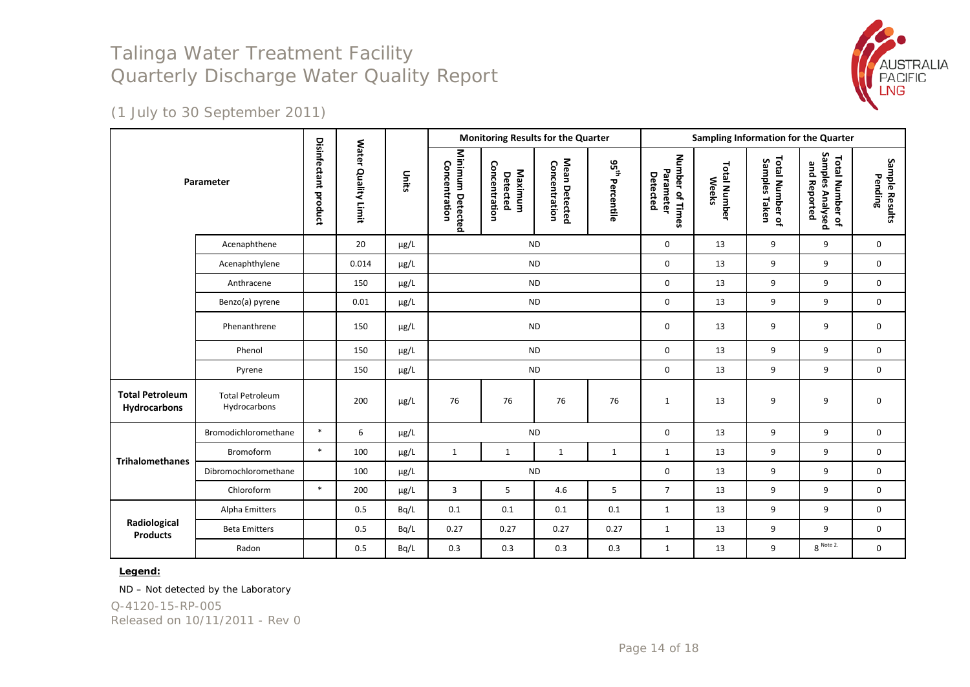

(1 July to 30 September 2011)

|                                        |                                        |                      |                                      |           |                                                                                   |                                      | <b>Monitoring Results for the Quarter</b> |                        | Sampling Information for the Quarter     |                                     |                                  |                                                     |                           |
|----------------------------------------|----------------------------------------|----------------------|--------------------------------------|-----------|-----------------------------------------------------------------------------------|--------------------------------------|-------------------------------------------|------------------------|------------------------------------------|-------------------------------------|----------------------------------|-----------------------------------------------------|---------------------------|
| Parameter                              |                                        | Disinfectant product | <b>Water</b><br><b>Quality Limit</b> | Units     | Minimum Detected<br>Concentration                                                 | Concentration<br>Maximum<br>Detected | Mean Detected<br>Concentration            | 95<br>95<br>Percentile | Number of Times<br>Parameter<br>Detected | <b>Total Number</b><br><b>Weeks</b> | Total Number of<br>Samples Taken | Samples Analysed<br>Total Number of<br>and Reported | Sample Results<br>Pending |
|                                        | Acenaphthene                           |                      | 20                                   | $\mu$ g/L |                                                                                   |                                      | <b>ND</b>                                 |                        | $\mathbf 0$                              | 13                                  | 9                                | 9                                                   | $\mathbf 0$               |
|                                        | Acenaphthylene                         |                      | 0.014                                | $\mu$ g/L |                                                                                   |                                      | <b>ND</b>                                 |                        | 0                                        | 13                                  | 9                                | 9                                                   | 0                         |
|                                        | Anthracene                             |                      | 150                                  | $\mu$ g/L |                                                                                   |                                      | <b>ND</b>                                 |                        | 0                                        | 13                                  | 9                                | 9                                                   | 0                         |
|                                        | Benzo(a) pyrene                        |                      | 0.01                                 | $\mu$ g/L |                                                                                   |                                      | <b>ND</b>                                 |                        | $\mathbf 0$                              | 13                                  | 9                                | 9                                                   | $\mathbf 0$               |
|                                        | Phenanthrene                           |                      | 150                                  | µg/L      |                                                                                   |                                      | <b>ND</b>                                 |                        | $\mathbf 0$                              | 13                                  | 9                                | 9                                                   | 0                         |
|                                        | Phenol                                 |                      | 150                                  | $\mu$ g/L |                                                                                   |                                      | <b>ND</b>                                 |                        | $\pmb{0}$                                | 13                                  | 9                                | 9                                                   | 0                         |
|                                        | Pyrene                                 |                      | 150                                  | $\mu$ g/L |                                                                                   |                                      | <b>ND</b>                                 |                        | 0                                        | 13                                  | 9                                | 9                                                   | 0                         |
| <b>Total Petroleum</b><br>Hydrocarbons | <b>Total Petroleum</b><br>Hydrocarbons |                      | 200                                  | $\mu$ g/L | 76                                                                                | 76                                   | 76                                        | 76                     | 1                                        | 13                                  | 9                                | 9                                                   | $\mathbf 0$               |
|                                        | Bromodichloromethane                   | $\ast$               | 6                                    | µg/L      |                                                                                   |                                      | $\sf ND$                                  |                        | $\pmb{0}$                                | 13                                  | 9                                | 9                                                   | $\mathbf 0$               |
| <b>Trihalomethanes</b>                 | Bromoform                              | $\ast$               | 100                                  | $\mu$ g/L | $\mathbf{1}$                                                                      | $\mathbf{1}$                         | $\mathbf{1}$                              | $\mathbf{1}$           | $\mathbf{1}$                             | 13                                  | 9                                | 9                                                   | $\mathbf 0$               |
|                                        | Dibromochloromethane                   |                      | 100                                  | $\mu$ g/L |                                                                                   |                                      | <b>ND</b>                                 |                        | 0                                        | 13                                  | 9                                | 9                                                   | 0                         |
|                                        | Chloroform                             | $\ast$               | 200                                  | µg/L      | 5<br>5<br>$\overline{7}$<br>$\overline{3}$<br>4.6<br>13<br>9<br>9<br>$\mathbf{0}$ |                                      |                                           |                        |                                          |                                     |                                  |                                                     |                           |
|                                        | Alpha Emitters                         |                      | 0.5                                  | Bq/L      | 0.1                                                                               | 0.1                                  | 0.1                                       | 0.1                    | $\mathbf{1}$                             | 13                                  | 9                                | 9                                                   | 0                         |
| Radiological<br><b>Products</b>        | <b>Beta Emitters</b>                   |                      | 0.5                                  | Bq/L      | 0.27                                                                              | 0.27                                 | 0.27                                      | 0.27                   | $\mathbf{1}$                             | 13                                  | 9                                | 9                                                   | 0                         |
|                                        | Radon                                  |                      | 0.5                                  | Bq/L      | 0.3                                                                               | 0.3                                  | 0.3                                       | 0.3                    | $\mathbf{1}$                             | 13                                  | 9                                | $8^{\space Note\space 2.}$                          | 0                         |

#### **Legend:**

ND – Not detected by the Laboratory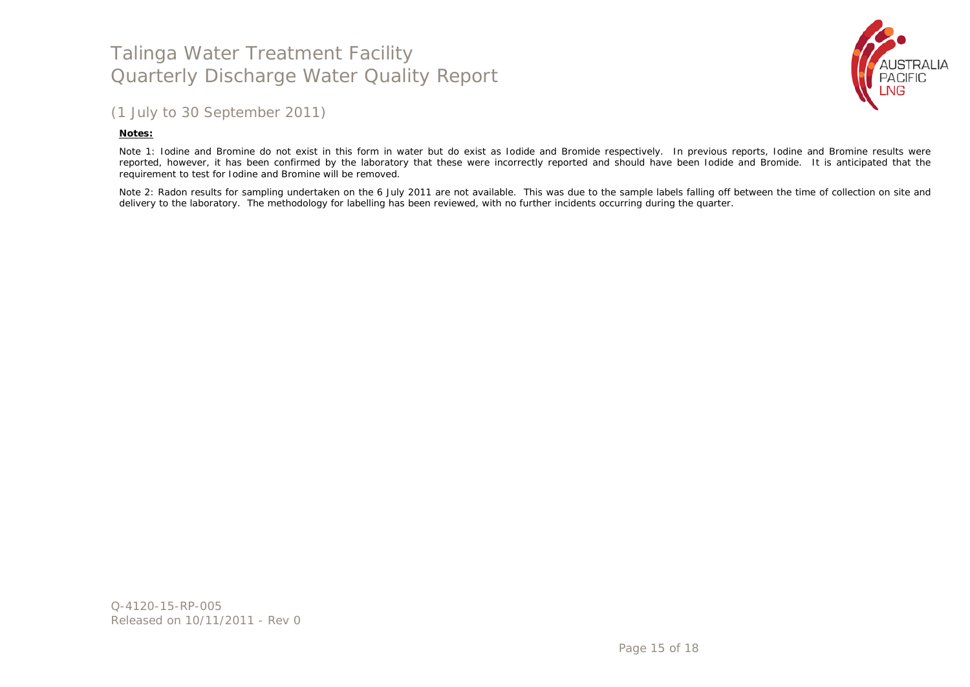

### (1 July to 30 September 2011)

#### **Notes:**

Note 1: Iodine and Bromine do not exist in this form in water but do exist as Iodide and Bromide respectively. In previous reports, Iodine and Bromine results were reported, however, it has been confirmed by the laboratory that these were incorrectly reported and should have been Iodide and Bromide. It is anticipated that the requirement to test for Iodine and Bromine will be removed.

Note 2: Radon results for sampling undertaken on the 6 July 2011 are not available. This was due to the sample labels falling off between the time of collection on site and delivery to the laboratory. The methodology for labelling has been reviewed, with no further incidents occurring during the quarter.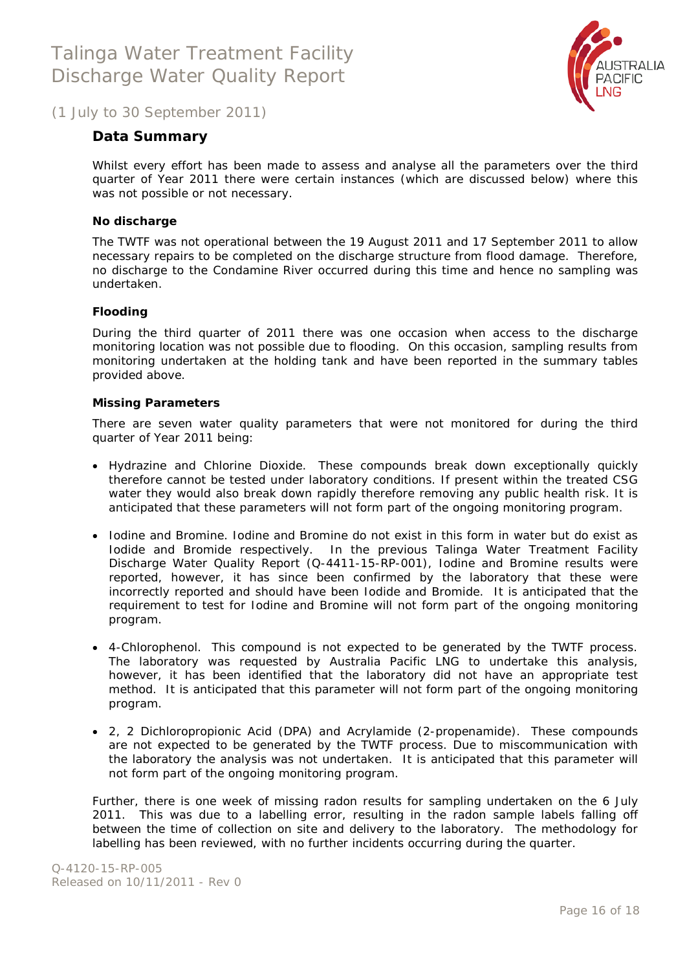

<span id="page-15-0"></span>(1 July to 30 September 2011)

### **Data Summary**

Whilst every effort has been made to assess and analyse all the parameters over the third quarter of Year 2011 there were certain instances (which are discussed below) where this was not possible or not necessary.

#### **No discharge**

The TWTF was not operational between the 19 August 2011 and 17 September 2011 to allow necessary repairs to be completed on the discharge structure from flood damage. Therefore, no discharge to the Condamine River occurred during this time and hence no sampling was undertaken.

#### **Flooding**

During the third quarter of 2011 there was one occasion when access to the discharge monitoring location was not possible due to flooding. On this occasion, sampling results from monitoring undertaken at the holding tank and have been reported in the summary tables provided above.

#### **Missing Parameters**

There are seven water quality parameters that were not monitored for during the third quarter of Year 2011 being:

- Hydrazine and Chlorine Dioxide. These compounds break down exceptionally quickly therefore cannot be tested under laboratory conditions. If present within the treated CSG water they would also break down rapidly therefore removing any public health risk. It is anticipated that these parameters will not form part of the ongoing monitoring program.
- Iodine and Bromine. Iodine and Bromine do not exist in this form in water but do exist as Iodide and Bromide respectively. In the previous Talinga Water Treatment Facility Discharge Water Quality Report (Q-4411-15-RP-001), Iodine and Bromine results were reported, however, it has since been confirmed by the laboratory that these were incorrectly reported and should have been Iodide and Bromide. It is anticipated that the requirement to test for Iodine and Bromine will not form part of the ongoing monitoring program.
- 4-Chlorophenol. This compound is not expected to be generated by the TWTF process. The laboratory was requested by Australia Pacific LNG to undertake this analysis, however, it has been identified that the laboratory did not have an appropriate test method. It is anticipated that this parameter will not form part of the ongoing monitoring program.
- 2, 2 Dichloropropionic Acid (DPA) and Acrylamide (2-propenamide). These compounds are not expected to be generated by the TWTF process. Due to miscommunication with the laboratory the analysis was not undertaken. It is anticipated that this parameter will not form part of the ongoing monitoring program.

Further, there is one week of missing radon results for sampling undertaken on the 6 July 2011. This was due to a labelling error, resulting in the radon sample labels falling off between the time of collection on site and delivery to the laboratory. The methodology for labelling has been reviewed, with no further incidents occurring during the quarter.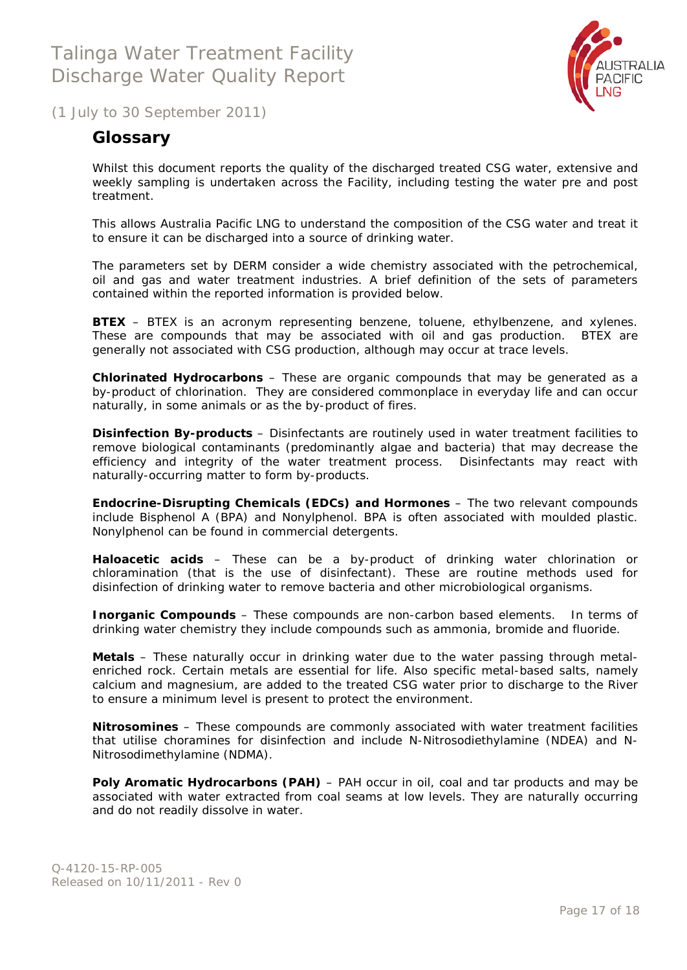

<span id="page-16-0"></span>(1 July to 30 September 2011)

### **Glossary**

Whilst this document reports the quality of the discharged treated CSG water, extensive and weekly sampling is undertaken across the Facility, including testing the water pre and post treatment.

This allows Australia Pacific LNG to understand the composition of the CSG water and treat it to ensure it can be discharged into a source of drinking water.

The parameters set by DERM consider a wide chemistry associated with the petrochemical, oil and gas and water treatment industries. A brief definition of the sets of parameters contained within the reported information is provided below.

**BTEX** – BTEX is an acronym representing benzene, toluene, ethylbenzene, and xylenes. These are compounds that may be associated with oil and gas production. BTEX are generally not associated with CSG production, although may occur at trace levels.

**Chlorinated Hydrocarbons** – These are organic compounds that may be generated as a by-product of chlorination. They are considered commonplace in everyday life and can occur naturally, in some animals or as the by-product of fires.

**Disinfection By-products** – Disinfectants are routinely used in water treatment facilities to remove biological contaminants (predominantly algae and bacteria) that may decrease the efficiency and integrity of the water treatment process. Disinfectants may react with naturally-occurring matter to form by-products.

**Endocrine-Disrupting Chemicals (EDCs) and Hormones** – The two relevant compounds include Bisphenol A (BPA) and Nonylphenol. BPA is often associated with moulded plastic. Nonylphenol can be found in commercial detergents.

**Haloacetic acids** – These can be a by-product of drinking water chlorination or chloramination (that is the use of disinfectant). These are routine methods used for disinfection of drinking water to remove bacteria and other microbiological organisms.

**Inorganic Compounds** – These compounds are non-carbon based elements. In terms of drinking water chemistry they include compounds such as ammonia, bromide and fluoride.

**Metals** – These naturally occur in drinking water due to the water passing through metalenriched rock. Certain metals are essential for life. Also specific metal-based salts, namely calcium and magnesium, are added to the treated CSG water prior to discharge to the River to ensure a minimum level is present to protect the environment.

**Nitrosomines** – These compounds are commonly associated with water treatment facilities that utilise choramines for disinfection and include N-Nitrosodiethylamine (NDEA) and N-Nitrosodimethylamine (NDMA).

Poly Aromatic Hydrocarbons (PAH) - PAH occur in oil, coal and tar products and may be associated with water extracted from coal seams at low levels. They are naturally occurring and do not readily dissolve in water.